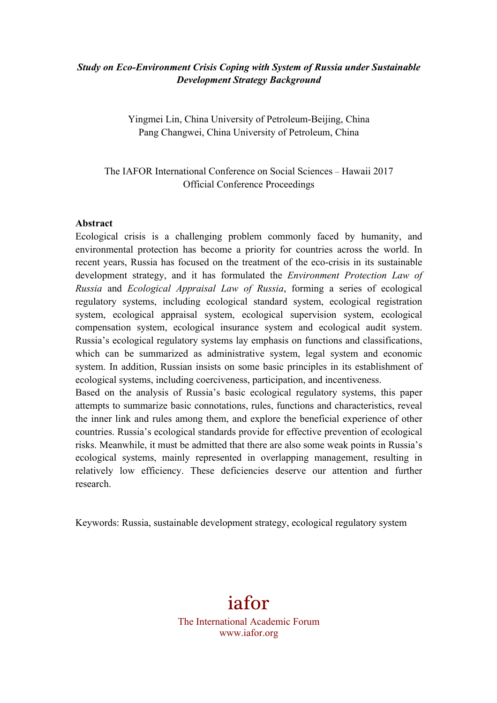## *Study on Eco-Environment Crisis Coping with System of Russia under Sustainable Development Strategy Background*

Yingmei Lin, China University of Petroleum-Beijing, China Pang Changwei, China University of Petroleum, China

The IAFOR International Conference on Social Sciences – Hawaii 2017 Official Conference Proceedings

#### **Abstract**

Ecological crisis is a challenging problem commonly faced by humanity, and environmental protection has become a priority for countries across the world. In recent years, Russia has focused on the treatment of the eco-crisis in its sustainable development strategy, and it has formulated the *Environment Protection Law of Russia* and *Ecological Appraisal Law of Russia*, forming a series of ecological regulatory systems, including ecological standard system, ecological registration system, ecological appraisal system, ecological supervision system, ecological compensation system, ecological insurance system and ecological audit system. Russia's ecological regulatory systems lay emphasis on functions and classifications, which can be summarized as administrative system, legal system and economic system. In addition, Russian insists on some basic principles in its establishment of ecological systems, including coerciveness, participation, and incentiveness.

Based on the analysis of Russia's basic ecological regulatory systems, this paper attempts to summarize basic connotations, rules, functions and characteristics, reveal the inner link and rules among them, and explore the beneficial experience of other countries. Russia's ecological standards provide for effective prevention of ecological risks. Meanwhile, it must be admitted that there are also some weak points in Russia's ecological systems, mainly represented in overlapping management, resulting in relatively low efficiency. These deficiencies deserve our attention and further research.

Keywords: Russia, sustainable development strategy, ecological regulatory system

iafor The International Academic Forum www.iafor.org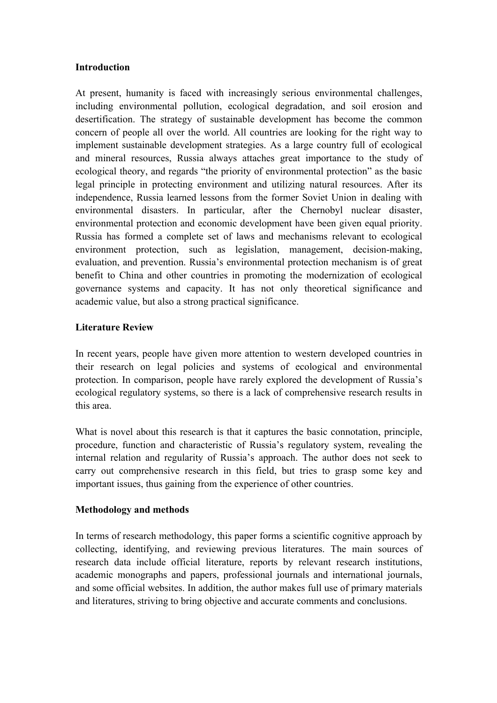#### **Introduction**

At present, humanity is faced with increasingly serious environmental challenges, including environmental pollution, ecological degradation, and soil erosion and desertification. The strategy of sustainable development has become the common concern of people all over the world. All countries are looking for the right way to implement sustainable development strategies. As a large country full of ecological and mineral resources, Russia always attaches great importance to the study of ecological theory, and regards "the priority of environmental protection" as the basic legal principle in protecting environment and utilizing natural resources. After its independence, Russia learned lessons from the former Soviet Union in dealing with environmental disasters. In particular, after the Chernobyl nuclear disaster, environmental protection and economic development have been given equal priority. Russia has formed a complete set of laws and mechanisms relevant to ecological environment protection, such as legislation, management, decision-making, evaluation, and prevention. Russia's environmental protection mechanism is of great benefit to China and other countries in promoting the modernization of ecological governance systems and capacity. It has not only theoretical significance and academic value, but also a strong practical significance.

#### **Literature Review**

In recent years, people have given more attention to western developed countries in their research on legal policies and systems of ecological and environmental protection. In comparison, people have rarely explored the development of Russia's ecological regulatory systems, so there is a lack of comprehensive research results in this area.

What is novel about this research is that it captures the basic connotation, principle, procedure, function and characteristic of Russia's regulatory system, revealing the internal relation and regularity of Russia's approach. The author does not seek to carry out comprehensive research in this field, but tries to grasp some key and important issues, thus gaining from the experience of other countries.

### **Methodology and methods**

In terms of research methodology, this paper forms a scientific cognitive approach by collecting, identifying, and reviewing previous literatures. The main sources of research data include official literature, reports by relevant research institutions, academic monographs and papers, professional journals and international journals, and some official websites. In addition, the author makes full use of primary materials and literatures, striving to bring objective and accurate comments and conclusions.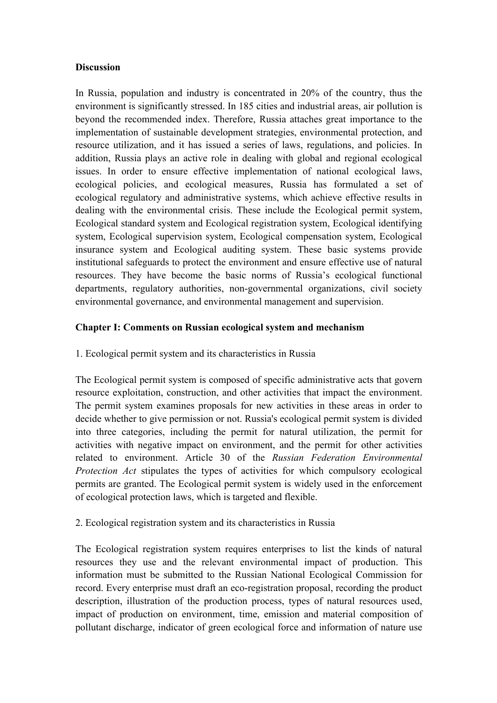### **Discussion**

In Russia, population and industry is concentrated in 20% of the country, thus the environment is significantly stressed. In 185 cities and industrial areas, air pollution is beyond the recommended index. Therefore, Russia attaches great importance to the implementation of sustainable development strategies, environmental protection, and resource utilization, and it has issued a series of laws, regulations, and policies. In addition, Russia plays an active role in dealing with global and regional ecological issues. In order to ensure effective implementation of national ecological laws, ecological policies, and ecological measures, Russia has formulated a set of ecological regulatory and administrative systems, which achieve effective results in dealing with the environmental crisis. These include the Ecological permit system, Ecological standard system and Ecological registration system, Ecological identifying system, Ecological supervision system, Ecological compensation system, Ecological insurance system and Ecological auditing system. These basic systems provide institutional safeguards to protect the environment and ensure effective use of natural resources. They have become the basic norms of Russia's ecological functional departments, regulatory authorities, non-governmental organizations, civil society environmental governance, and environmental management and supervision.

### **Chapter I: Comments on Russian ecological system and mechanism**

## 1. Ecological permit system and its characteristics in Russia

The Ecological permit system is composed of specific administrative acts that govern resource exploitation, construction, and other activities that impact the environment. The permit system examines proposals for new activities in these areas in order to decide whether to give permission or not. Russia's ecological permit system is divided into three categories, including the permit for natural utilization, the permit for activities with negative impact on environment, and the permit for other activities related to environment. Article 30 of the *Russian Federation Environmental Protection Act* stipulates the types of activities for which compulsory ecological permits are granted. The Ecological permit system is widely used in the enforcement of ecological protection laws, which is targeted and flexible.

### 2. Ecological registration system and its characteristics in Russia

The Ecological registration system requires enterprises to list the kinds of natural resources they use and the relevant environmental impact of production. This information must be submitted to the Russian National Ecological Commission for record. Every enterprise must draft an eco-registration proposal, recording the product description, illustration of the production process, types of natural resources used, impact of production on environment, time, emission and material composition of pollutant discharge, indicator of green ecological force and information of nature use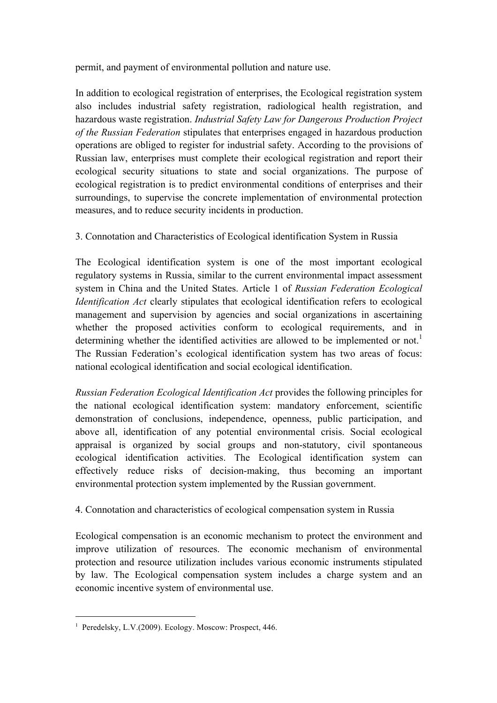permit, and payment of environmental pollution and nature use.

In addition to ecological registration of enterprises, the Ecological registration system also includes industrial safety registration, radiological health registration, and hazardous waste registration. *Industrial Safety Law for Dangerous Production Project of the Russian Federation* stipulates that enterprises engaged in hazardous production operations are obliged to register for industrial safety. According to the provisions of Russian law, enterprises must complete their ecological registration and report their ecological security situations to state and social organizations. The purpose of ecological registration is to predict environmental conditions of enterprises and their surroundings, to supervise the concrete implementation of environmental protection measures, and to reduce security incidents in production.

# 3. Connotation and Characteristics of Ecological identification System in Russia

The Ecological identification system is one of the most important ecological regulatory systems in Russia, similar to the current environmental impact assessment system in China and the United States. Article 1 of *Russian Federation Ecological Identification Act* clearly stipulates that ecological identification refers to ecological management and supervision by agencies and social organizations in ascertaining whether the proposed activities conform to ecological requirements, and in determining whether the identified activities are allowed to be implemented or not.<sup>1</sup> The Russian Federation's ecological identification system has two areas of focus: national ecological identification and social ecological identification.

*Russian Federation Ecological Identification Act* provides the following principles for the national ecological identification system: mandatory enforcement, scientific demonstration of conclusions, independence, openness, public participation, and above all, identification of any potential environmental crisis. Social ecological appraisal is organized by social groups and non-statutory, civil spontaneous ecological identification activities. The Ecological identification system can effectively reduce risks of decision-making, thus becoming an important environmental protection system implemented by the Russian government.

# 4. Connotation and characteristics of ecological compensation system in Russia

Ecological compensation is an economic mechanism to protect the environment and improve utilization of resources. The economic mechanism of environmental protection and resource utilization includes various economic instruments stipulated by law. The Ecological compensation system includes a charge system and an economic incentive system of environmental use.

<u> 1989 - Jan Samuel Barbara, margaret e</u>

<sup>1</sup> Peredelsky, L.V.(2009). Ecology. Moscow: Prospect, 446.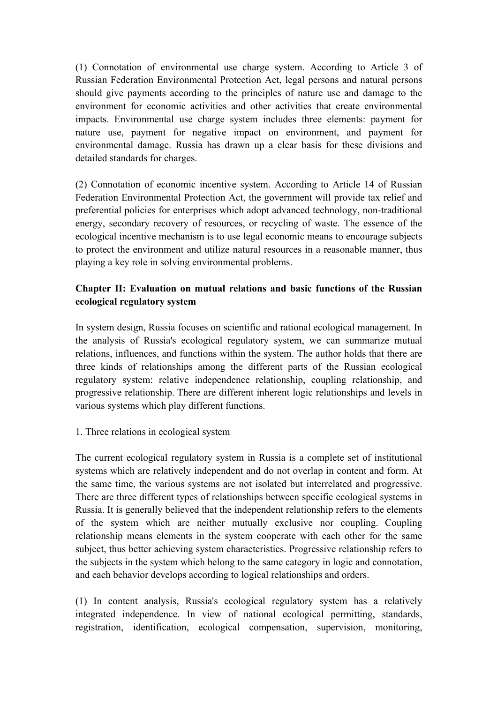(1) Connotation of environmental use charge system. According to Article 3 of Russian Federation Environmental Protection Act, legal persons and natural persons should give payments according to the principles of nature use and damage to the environment for economic activities and other activities that create environmental impacts. Environmental use charge system includes three elements: payment for nature use, payment for negative impact on environment, and payment for environmental damage. Russia has drawn up a clear basis for these divisions and detailed standards for charges.

(2) Connotation of economic incentive system. According to Article 14 of Russian Federation Environmental Protection Act, the government will provide tax relief and preferential policies for enterprises which adopt advanced technology, non-traditional energy, secondary recovery of resources, or recycling of waste. The essence of the ecological incentive mechanism is to use legal economic means to encourage subjects to protect the environment and utilize natural resources in a reasonable manner, thus playing a key role in solving environmental problems.

# **Chapter II: Evaluation on mutual relations and basic functions of the Russian ecological regulatory system**

In system design, Russia focuses on scientific and rational ecological management. In the analysis of Russia's ecological regulatory system, we can summarize mutual relations, influences, and functions within the system. The author holds that there are three kinds of relationships among the different parts of the Russian ecological regulatory system: relative independence relationship, coupling relationship, and progressive relationship. There are different inherent logic relationships and levels in various systems which play different functions.

### 1. Three relations in ecological system

The current ecological regulatory system in Russia is a complete set of institutional systems which are relatively independent and do not overlap in content and form. At the same time, the various systems are not isolated but interrelated and progressive. There are three different types of relationships between specific ecological systems in Russia. It is generally believed that the independent relationship refers to the elements of the system which are neither mutually exclusive nor coupling. Coupling relationship means elements in the system cooperate with each other for the same subject, thus better achieving system characteristics. Progressive relationship refers to the subjects in the system which belong to the same category in logic and connotation, and each behavior develops according to logical relationships and orders.

(1) In content analysis, Russia's ecological regulatory system has a relatively integrated independence. In view of national ecological permitting, standards, registration, identification, ecological compensation, supervision, monitoring,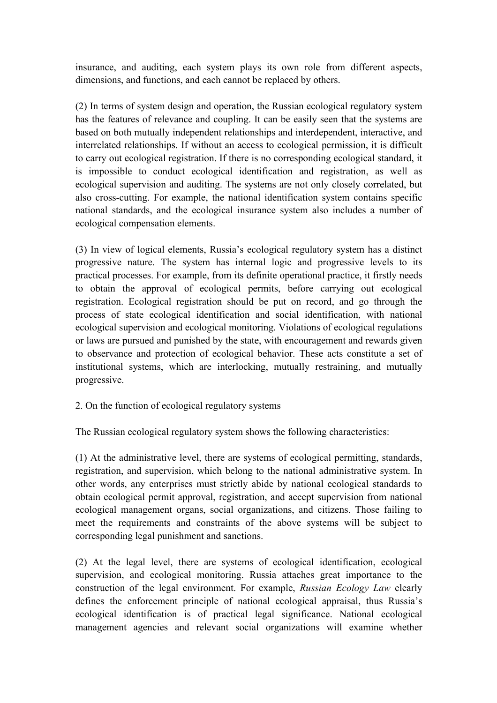insurance, and auditing, each system plays its own role from different aspects, dimensions, and functions, and each cannot be replaced by others.

(2) In terms of system design and operation, the Russian ecological regulatory system has the features of relevance and coupling. It can be easily seen that the systems are based on both mutually independent relationships and interdependent, interactive, and interrelated relationships. If without an access to ecological permission, it is difficult to carry out ecological registration. If there is no corresponding ecological standard, it is impossible to conduct ecological identification and registration, as well as ecological supervision and auditing. The systems are not only closely correlated, but also cross-cutting. For example, the national identification system contains specific national standards, and the ecological insurance system also includes a number of ecological compensation elements.

(3) In view of logical elements, Russia's ecological regulatory system has a distinct progressive nature. The system has internal logic and progressive levels to its practical processes. For example, from its definite operational practice, it firstly needs to obtain the approval of ecological permits, before carrying out ecological registration. Ecological registration should be put on record, and go through the process of state ecological identification and social identification, with national ecological supervision and ecological monitoring. Violations of ecological regulations or laws are pursued and punished by the state, with encouragement and rewards given to observance and protection of ecological behavior. These acts constitute a set of institutional systems, which are interlocking, mutually restraining, and mutually progressive.

### 2. On the function of ecological regulatory systems

The Russian ecological regulatory system shows the following characteristics:

(1) At the administrative level, there are systems of ecological permitting, standards, registration, and supervision, which belong to the national administrative system. In other words, any enterprises must strictly abide by national ecological standards to obtain ecological permit approval, registration, and accept supervision from national ecological management organs, social organizations, and citizens. Those failing to meet the requirements and constraints of the above systems will be subject to corresponding legal punishment and sanctions.

(2) At the legal level, there are systems of ecological identification, ecological supervision, and ecological monitoring. Russia attaches great importance to the construction of the legal environment. For example, *Russian Ecology Law* clearly defines the enforcement principle of national ecological appraisal, thus Russia's ecological identification is of practical legal significance. National ecological management agencies and relevant social organizations will examine whether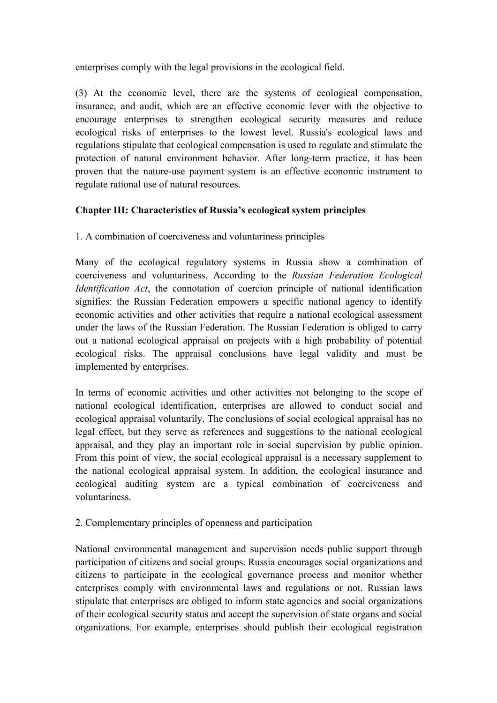enterprises comply with the legal provisions in the ecological field.

(3) At the economic level, there are the systems of ecological compensation, insurance, and audit, which are an effective economic lever with the objective to encourage enterprises to strengthen ecological security measures and reduce ecological risks of enterprises to the lowest level. Russia's ecological laws and regulations stipulate that ecological compensation is used to regulate and stimulate the protection of natural environment behavior. After long-term practice, it has been proven that the nature-use payment system is an effective economic instrument to regulate rational use of natural resources.

### **Chapter III: Characteristics of Russia's ecological system principles**

1. A combination of coerciveness and voluntariness principles

Many of the ecological regulatory systems in Russia show a combination of coerciveness and voluntariness. According to the *Russian Federation Ecological Identification Act*, the connotation of coercion principle of national identification signifies: the Russian Federation empowers a specific national agency to identify economic activities and other activities that require a national ecological assessment under the laws of the Russian Federation. The Russian Federation is obliged to carry out a national ecological appraisal on projects with a high probability of potential ecological risks. The appraisal conclusions have legal validity and must be implemented by enterprises.

In terms of economic activities and other activities not belonging to the scope of national ecological identification, enterprises are allowed to conduct social and ecological appraisal voluntarily. The conclusions of social ecological appraisal has no legal effect, but they serve as references and suggestions to the national ecological appraisal, and they play an important role in social supervision by public opinion. From this point of view, the social ecological appraisal is a necessary supplement to the national ecological appraisal system. In addition, the ecological insurance and ecological auditing system are a typical combination of coerciveness and voluntariness.

### 2. Complementary principles of openness and participation

National environmental management and supervision needs public support through participation of citizens and social groups. Russia encourages social organizations and citizens to participate in the ecological governance process and monitor whether enterprises comply with environmental laws and regulations or not. Russian laws stipulate that enterprises are obliged to inform state agencies and social organizations of their ecological security status and accept the supervision of state organs and social organizations. For example, enterprises should publish their ecological registration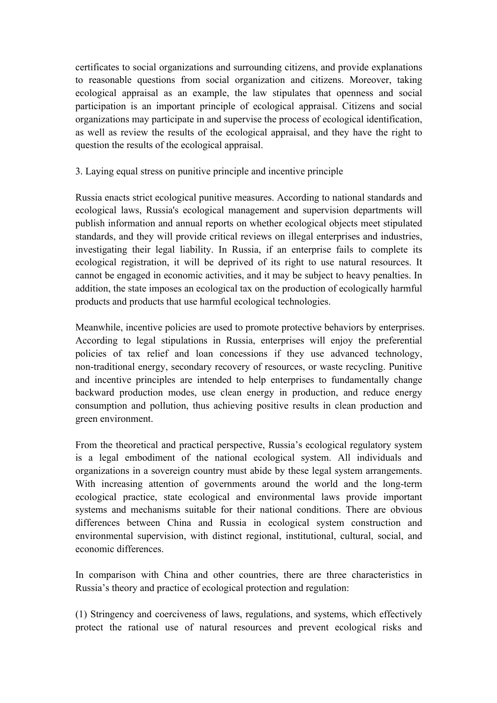certificates to social organizations and surrounding citizens, and provide explanations to reasonable questions from social organization and citizens. Moreover, taking ecological appraisal as an example, the law stipulates that openness and social participation is an important principle of ecological appraisal. Citizens and social organizations may participate in and supervise the process of ecological identification, as well as review the results of the ecological appraisal, and they have the right to question the results of the ecological appraisal.

### 3. Laying equal stress on punitive principle and incentive principle

Russia enacts strict ecological punitive measures. According to national standards and ecological laws, Russia's ecological management and supervision departments will publish information and annual reports on whether ecological objects meet stipulated standards, and they will provide critical reviews on illegal enterprises and industries, investigating their legal liability. In Russia, if an enterprise fails to complete its ecological registration, it will be deprived of its right to use natural resources. It cannot be engaged in economic activities, and it may be subject to heavy penalties. In addition, the state imposes an ecological tax on the production of ecologically harmful products and products that use harmful ecological technologies.

Meanwhile, incentive policies are used to promote protective behaviors by enterprises. According to legal stipulations in Russia, enterprises will enjoy the preferential policies of tax relief and loan concessions if they use advanced technology, non-traditional energy, secondary recovery of resources, or waste recycling. Punitive and incentive principles are intended to help enterprises to fundamentally change backward production modes, use clean energy in production, and reduce energy consumption and pollution, thus achieving positive results in clean production and green environment.

From the theoretical and practical perspective, Russia's ecological regulatory system is a legal embodiment of the national ecological system. All individuals and organizations in a sovereign country must abide by these legal system arrangements. With increasing attention of governments around the world and the long-term ecological practice, state ecological and environmental laws provide important systems and mechanisms suitable for their national conditions. There are obvious differences between China and Russia in ecological system construction and environmental supervision, with distinct regional, institutional, cultural, social, and economic differences.

In comparison with China and other countries, there are three characteristics in Russia's theory and practice of ecological protection and regulation:

(1) Stringency and coerciveness of laws, regulations, and systems, which effectively protect the rational use of natural resources and prevent ecological risks and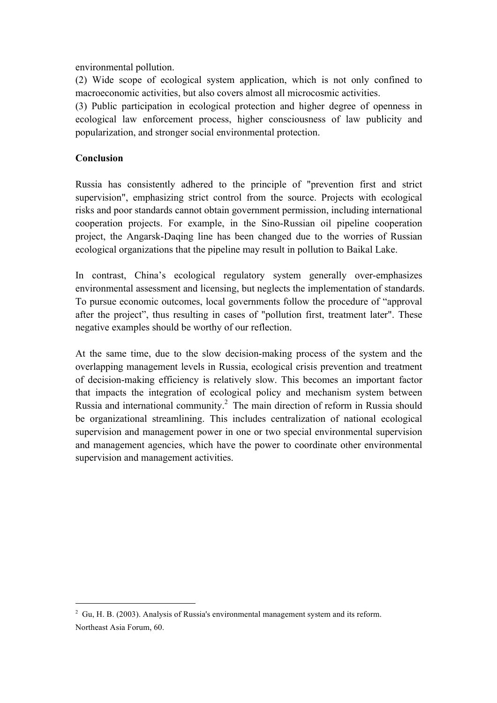environmental pollution.

(2) Wide scope of ecological system application, which is not only confined to macroeconomic activities, but also covers almost all microcosmic activities.

(3) Public participation in ecological protection and higher degree of openness in ecological law enforcement process, higher consciousness of law publicity and popularization, and stronger social environmental protection.

### **Conclusion**

Russia has consistently adhered to the principle of "prevention first and strict supervision", emphasizing strict control from the source. Projects with ecological risks and poor standards cannot obtain government permission, including international cooperation projects. For example, in the Sino-Russian oil pipeline cooperation project, the Angarsk-Daqing line has been changed due to the worries of Russian ecological organizations that the pipeline may result in pollution to Baikal Lake.

In contrast, China's ecological regulatory system generally over-emphasizes environmental assessment and licensing, but neglects the implementation of standards. To pursue economic outcomes, local governments follow the procedure of "approval after the project", thus resulting in cases of "pollution first, treatment later". These negative examples should be worthy of our reflection.

At the same time, due to the slow decision-making process of the system and the overlapping management levels in Russia, ecological crisis prevention and treatment of decision-making efficiency is relatively slow. This becomes an important factor that impacts the integration of ecological policy and mechanism system between Russia and international community. <sup>2</sup> The main direction of reform in Russia should be organizational streamlining. This includes centralization of national ecological supervision and management power in one or two special environmental supervision and management agencies, which have the power to coordinate other environmental supervision and management activities.

 

 $2$  Gu, H. B. (2003). Analysis of Russia's environmental management system and its reform. Northeast Asia Forum, 60.